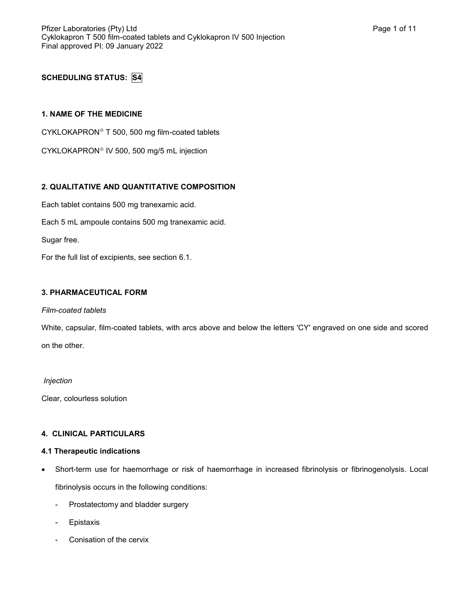# **SCHEDULING STATUS: S4**

#### **1. NAME OF THE MEDICINE**

CYKLOKAPRON<sup>®</sup> T 500, 500 mg film-coated tablets

CYKLOKAPRON<sup>®</sup> IV 500, 500 mg/5 mL injection

# **2. QUALITATIVE AND QUANTITATIVE COMPOSITION**

Each tablet contains 500 mg tranexamic acid.

Each 5 mL ampoule contains 500 mg tranexamic acid.

Sugar free.

For the full list of excipients, see section 6.1.

## **3. PHARMACEUTICAL FORM**

#### *Film-coated tablets*

White, capsular, film-coated tablets, with arcs above and below the letters 'CY' engraved on one side and scored on the other.

#### *Injection*

Clear, colourless solution

#### **4. CLINICAL PARTICULARS**

#### **4.1 Therapeutic indications**

- Short-term use for haemorrhage or risk of haemorrhage in increased fibrinolysis or fibrinogenolysis. Local fibrinolysis occurs in the following conditions:
	- Prostatectomy and bladder surgery
	- **Epistaxis**
	- Conisation of the cervix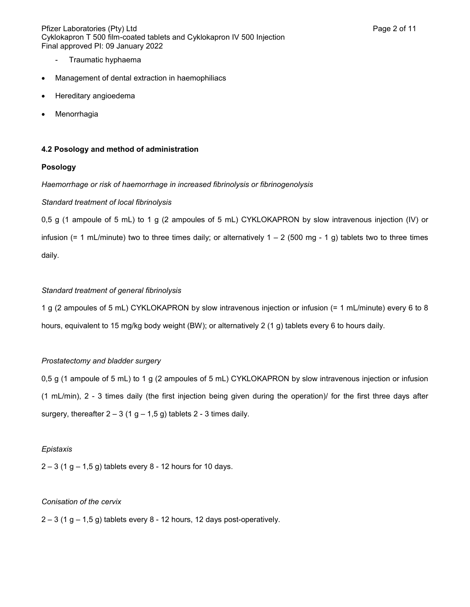Pfizer Laboratories (Pty) Ltd **Page 2 of 11** and Page 2 of 11 Cyklokapron T 500 film-coated tablets and Cyklokapron IV 500 Injection Final approved PI: 09 January 2022

- Traumatic hyphaema
- Management of dental extraction in haemophiliacs
- Hereditary angioedema
- Menorrhagia

#### **4.2 Posology and method of administration**

## **Posology**

#### *Haemorrhage or risk of haemorrhage in increased fibrinolysis or fibrinogenolysis*

## *Standard treatment of local fibrinolysis*

0,5 g (1 ampoule of 5 mL) to 1 g (2 ampoules of 5 mL) CYKLOKAPRON by slow intravenous injection (IV) or infusion (= 1 mL/minute) two to three times daily; or alternatively  $1 - 2$  (500 mg - 1 g) tablets two to three times daily.

# *Standard treatment of general fibrinolysis*

1 g (2 ampoules of 5 mL) CYKLOKAPRON by slow intravenous injection or infusion (= 1 mL/minute) every 6 to 8 hours, equivalent to 15 mg/kg body weight (BW); or alternatively 2 (1 g) tablets every 6 to hours daily.

# *Prostatectomy and bladder surgery*

0,5 g (1 ampoule of 5 mL) to 1 g (2 ampoules of 5 mL) CYKLOKAPRON by slow intravenous injection or infusion (1 mL/min), 2 - 3 times daily (the first injection being given during the operation)/ for the first three days after surgery, thereafter  $2 - 3$  (1 g – 1,5 g) tablets 2 - 3 times daily.

#### *Epistaxis*

 $2 - 3$  (1 g  $- 1,5$  g) tablets every 8 - 12 hours for 10 days.

#### *Conisation of the cervix*

 $2 - 3$  (1 g – 1,5 g) tablets every 8 - 12 hours, 12 days post-operatively.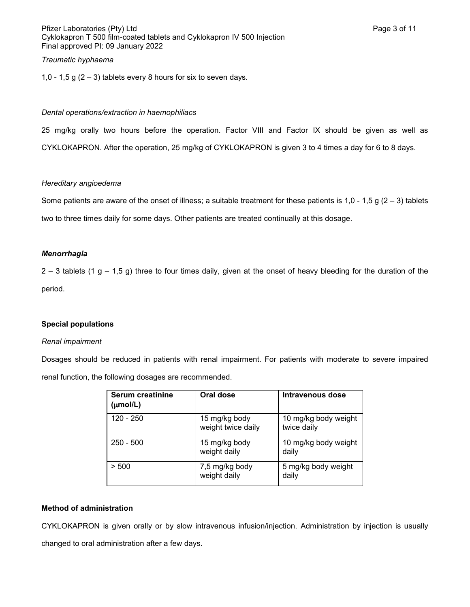Pfizer Laboratories (Pty) Ltd **Page 3 of 11** and Page 3 of 11 Cyklokapron T 500 film-coated tablets and Cyklokapron IV 500 Injection Final approved PI: 09 January 2022

# *Traumatic hyphaema*

1,0 - 1,5 g  $(2 - 3)$  tablets every 8 hours for six to seven days.

#### *Dental operations/extraction in haemophiliacs*

25 mg/kg orally two hours before the operation. Factor VIII and Factor IX should be given as well as CYKLOKAPRON. After the operation, 25 mg/kg of CYKLOKAPRON is given 3 to 4 times a day for 6 to 8 days.

#### *Hereditary angioedema*

Some patients are aware of the onset of illness; a suitable treatment for these patients is 1,0 - 1,5 g ( $2 - 3$ ) tablets two to three times daily for some days. Other patients are treated continually at this dosage.

#### *Menorrhagia*

 $2 - 3$  tablets (1 g – 1,5 g) three to four times daily, given at the onset of heavy bleeding for the duration of the period.

#### **Special populations**

#### *Renal impairment*

Dosages should be reduced in patients with renal impairment. For patients with moderate to severe impaired renal function, the following dosages are recommended.

| <b>Serum creatinine</b><br>$(\mu \text{mol/L})$ | Oral dose                           | <b>Intravenous dose</b>             |
|-------------------------------------------------|-------------------------------------|-------------------------------------|
| 120 - 250                                       | 15 mg/kg body<br>weight twice daily | 10 mg/kg body weight<br>twice daily |
| $250 - 500$                                     | 15 mg/kg body<br>weight daily       | 10 mg/kg body weight<br>daily       |
| > 500                                           | 7,5 mg/kg body<br>weight daily      | 5 mg/kg body weight<br>daily        |

#### **Method of administration**

CYKLOKAPRON is given orally or by slow intravenous infusion/injection. Administration by injection is usually changed to oral administration after a few days.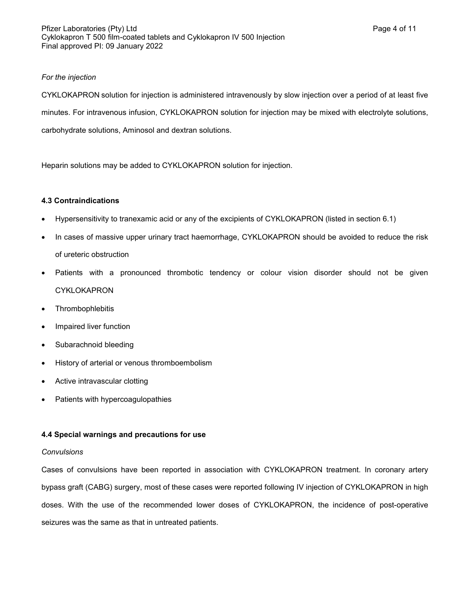## *For the injection*

CYKLOKAPRON solution for injection is administered intravenously by slow injection over a period of at least five minutes. For intravenous infusion, CYKLOKAPRON solution for injection may be mixed with electrolyte solutions, carbohydrate solutions, Aminosol and dextran solutions.

Heparin solutions may be added to CYKLOKAPRON solution for injection.

## **4.3 Contraindications**

- Hypersensitivity to tranexamic acid or any of the excipients of CYKLOKAPRON (listed in section 6.1)
- In cases of massive upper urinary tract haemorrhage, CYKLOKAPRON should be avoided to reduce the risk of ureteric obstruction
- Patients with a pronounced thrombotic tendency or colour vision disorder should not be given CYKLOKAPRON
- **Thrombophlebitis**
- Impaired liver function
- Subarachnoid bleeding
- History of arterial or venous thromboembolism
- Active intravascular clotting
- Patients with hypercoagulopathies

# **4.4 Special warnings and precautions for use**

#### *Convulsions*

Cases of convulsions have been reported in association with CYKLOKAPRON treatment. In coronary artery bypass graft (CABG) surgery, most of these cases were reported following IV injection of CYKLOKAPRON in high doses. With the use of the recommended lower doses of CYKLOKAPRON, the incidence of post-operative seizures was the same as that in untreated patients.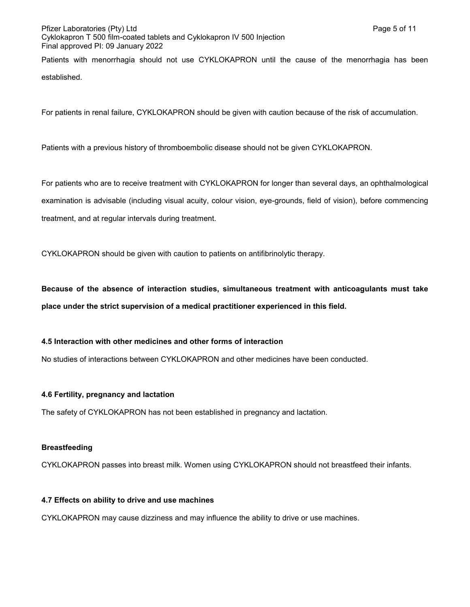# Pfizer Laboratories (Pty) Ltd **Page 5 of 11** and Page 5 of 11 Cyklokapron T 500 film-coated tablets and Cyklokapron IV 500 Injection Final approved PI: 09 January 2022

Patients with menorrhagia should not use CYKLOKAPRON until the cause of the menorrhagia has been established.

For patients in renal failure, CYKLOKAPRON should be given with caution because of the risk of accumulation.

Patients with a previous history of thromboembolic disease should not be given CYKLOKAPRON.

For patients who are to receive treatment with CYKLOKAPRON for longer than several days, an ophthalmological examination is advisable (including visual acuity, colour vision, eye-grounds, field of vision), before commencing treatment, and at regular intervals during treatment.

CYKLOKAPRON should be given with caution to patients on antifibrinolytic therapy.

**Because of the absence of interaction studies, simultaneous treatment with anticoagulants must take place under the strict supervision of a medical practitioner experienced in this field.**

#### **4.5 Interaction with other medicines and other forms of interaction**

No studies of interactions between CYKLOKAPRON and other medicines have been conducted.

#### **4.6 Fertility, pregnancy and lactation**

The safety of CYKLOKAPRON has not been established in pregnancy and lactation.

#### **Breastfeeding**

CYKLOKAPRON passes into breast milk. Women using CYKLOKAPRON should not breastfeed their infants.

#### **4.7 Effects on ability to drive and use machines**

CYKLOKAPRON may cause dizziness and may influence the ability to drive or use machines.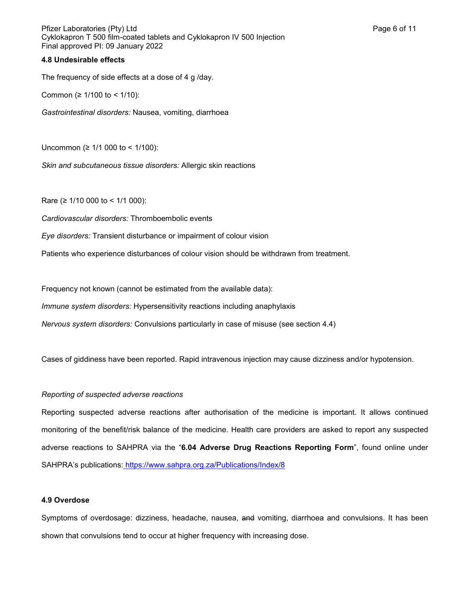Pfizer Laboratories (Pty) Ltd **Page 6 of 11** and Page 6 of 11 Cyklokapron T 500 film-coated tablets and Cyklokapron IV 500 Injection Final approved PI: 09 January 2022

#### **4.8 Undesirable effects**

The frequency of side effects at a dose of 4 g /day.

Common (≥ 1/100 to < 1/10):

*Gastrointestinal disorders:* Nausea, vomiting, diarrhoea

Uncommon (≥ 1/1 000 to < 1/100):

*Skin and subcutaneous tissue disorders:* Allergic skin reactions

Rare (≥ 1/10 000 to < 1/1 000):

*Cardiovascular disorders:* Thromboembolic events

*Eye disorders:* Transient disturbance or impairment of colour vision

Patients who experience disturbances of colour vision should be withdrawn from treatment.

Frequency not known (cannot be estimated from the available data):

*Immune system disorders:* Hypersensitivity reactions including anaphylaxis

*Nervous system disorders:* Convulsions particularly in case of misuse (see section 4.4)

Cases of giddiness have been reported. Rapid intravenous injection may cause dizziness and/or hypotension.

#### *Reporting of suspected adverse reactions*

Reporting suspected adverse reactions after authorisation of the medicine is important. It allows continued monitoring of the benefit/risk balance of the medicine. Health care providers are asked to report any suspected adverse reactions to SAHPRA via the "**6.04 Adverse Drug Reactions Reporting Form**", found online under SAHPRA's publications: https://www.sahpra.org.za/Publications/Index/8

#### **4.9 Overdose**

Symptoms of overdosage: dizziness, headache, nausea, and vomiting, diarrhoea and convulsions. It has been shown that convulsions tend to occur at higher frequency with increasing dose.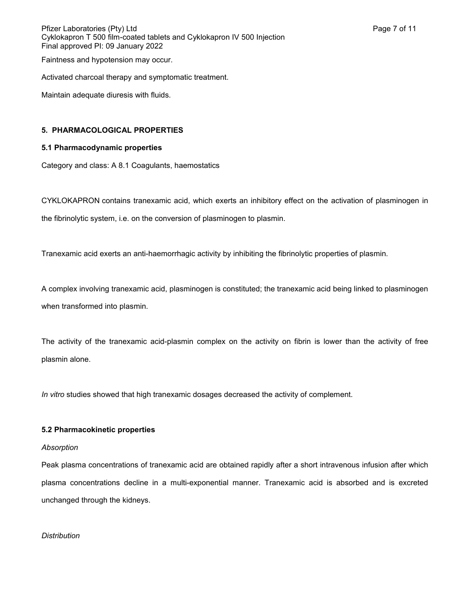Pfizer Laboratories (Pty) Ltd **Page 7** of 11 Cyklokapron T 500 film-coated tablets and Cyklokapron IV 500 Injection Final approved PI: 09 January 2022

Faintness and hypotension may occur.

Activated charcoal therapy and symptomatic treatment.

Maintain adequate diuresis with fluids.

#### **5. PHARMACOLOGICAL PROPERTIES**

#### **5.1 Pharmacodynamic properties**

Category and class: A 8.1 Coagulants, haemostatics

CYKLOKAPRON contains tranexamic acid, which exerts an inhibitory effect on the activation of plasminogen in the fibrinolytic system, i.e. on the conversion of plasminogen to plasmin.

Tranexamic acid exerts an anti-haemorrhagic activity by inhibiting the fibrinolytic properties of plasmin.

A complex involving tranexamic acid, plasminogen is constituted; the tranexamic acid being linked to plasminogen when transformed into plasmin.

The activity of the tranexamic acid-plasmin complex on the activity on fibrin is lower than the activity of free plasmin alone.

*In vitro* studies showed that high tranexamic dosages decreased the activity of complement.

#### **5.2 Pharmacokinetic properties**

#### *Absorption*

Peak plasma concentrations of tranexamic acid are obtained rapidly after a short intravenous infusion after which plasma concentrations decline in a multi-exponential manner. Tranexamic acid is absorbed and is excreted unchanged through the kidneys.

## *Distribution*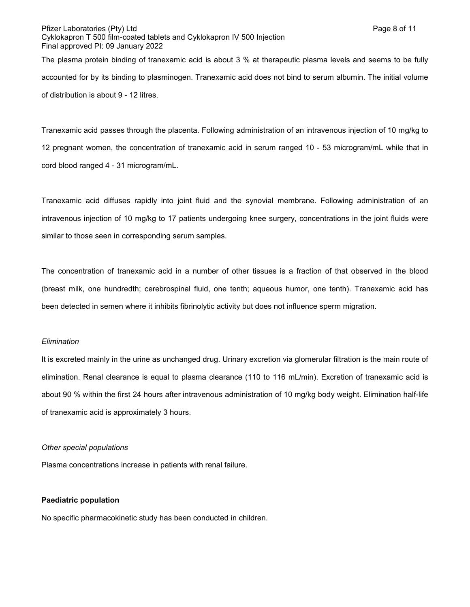of distribution is about 9 - 12 litres.

Tranexamic acid passes through the placenta. Following administration of an intravenous injection of 10 mg/kg to 12 pregnant women, the concentration of tranexamic acid in serum ranged 10 - 53 microgram/mL while that in cord blood ranged 4 - 31 microgram/mL.

Tranexamic acid diffuses rapidly into joint fluid and the synovial membrane. Following administration of an intravenous injection of 10 mg/kg to 17 patients undergoing knee surgery, concentrations in the joint fluids were similar to those seen in corresponding serum samples.

The concentration of tranexamic acid in a number of other tissues is a fraction of that observed in the blood (breast milk, one hundredth; cerebrospinal fluid, one tenth; aqueous humor, one tenth). Tranexamic acid has been detected in semen where it inhibits fibrinolytic activity but does not influence sperm migration.

#### *Elimination*

It is excreted mainly in the urine as unchanged drug. Urinary excretion via glomerular filtration is the main route of elimination. Renal clearance is equal to plasma clearance (110 to 116 mL/min). Excretion of tranexamic acid is about 90 % within the first 24 hours after intravenous administration of 10 mg/kg body weight. Elimination half-life of tranexamic acid is approximately 3 hours.

#### *Other special populations*

Plasma concentrations increase in patients with renal failure.

#### **Paediatric population**

No specific pharmacokinetic study has been conducted in children.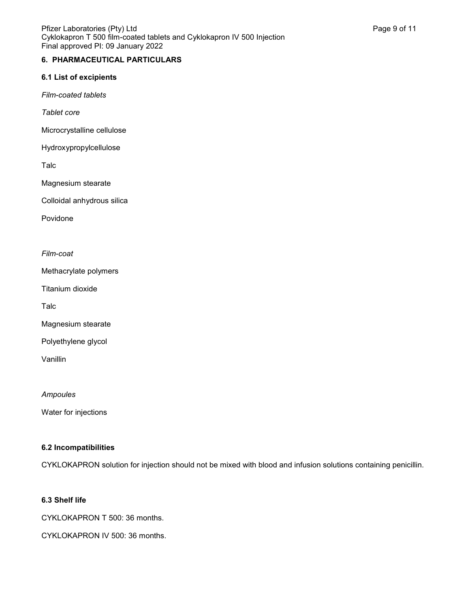# **6. PHARMACEUTICAL PARTICULARS**

#### **6.1 List of excipients**

*Film-coated tablets*

*Tablet core*

Microcrystalline cellulose

Hydroxypropylcellulose

Talc

Magnesium stearate

Colloidal anhydrous silica

Povidone

## *Film-coat*

Methacrylate polymers

Titanium dioxide

Talc

Magnesium stearate

Polyethylene glycol

Vanillin

*Ampoules*

Water for injections

#### **6.2 Incompatibilities**

CYKLOKAPRON solution for injection should not be mixed with blood and infusion solutions containing penicillin.

#### **6.3 Shelf life**

CYKLOKAPRON T 500: 36 months.

CYKLOKAPRON IV 500: 36 months.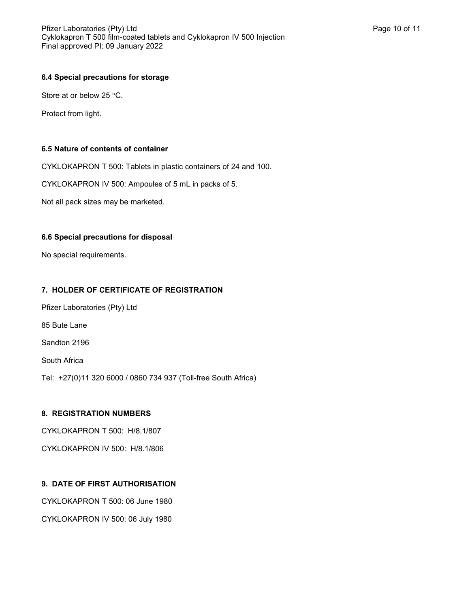## **6.4 Special precautions for storage**

Store at or below 25  $\degree$ C.

Protect from light.

#### **6.5 Nature of contents of container**

CYKLOKAPRON T 500: Tablets in plastic containers of 24 and 100.

CYKLOKAPRON IV 500: Ampoules of 5 mL in packs of 5.

Not all pack sizes may be marketed.

## **6.6 Special precautions for disposal**

No special requirements.

## **7. HOLDER OF CERTIFICATE OF REGISTRATION**

Pfizer Laboratories (Pty) Ltd 85 Bute Lane Sandton 2196

South Africa

Tel: +27(0)11 320 6000 / 0860 734 937 (Toll-free South Africa)

# **8. REGISTRATION NUMBERS**

CYKLOKAPRON T 500: H/8.1/807

CYKLOKAPRON IV 500: H/8.1/806

# **9. DATE OF FIRST AUTHORISATION**

CYKLOKAPRON T 500: 06 June 1980

CYKLOKAPRON IV 500: 06 July 1980